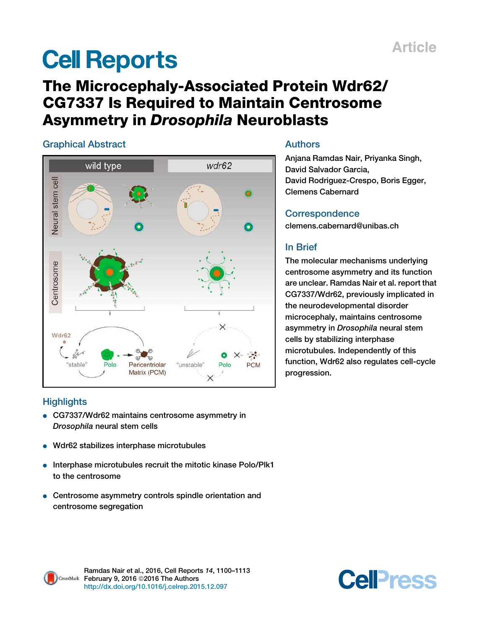# **Cell Reports**

# The Microcephaly-Associated Protein Wdr62/ CG7337 Is Required to Maintain Centrosome Asymmetry in Drosophila Neuroblasts

## Graphical Abstract



## Authors

Anjana Ramdas Nair, Priyanka Singh, David Salvador Garcia, David Rodriguez-Crespo, Boris Egger, Clemens Cabernard

## **Correspondence**

clemens.cabernard@unibas.ch

## In Brief

The molecular mechanisms underlying centrosome asymmetry and its function are unclear. Ramdas Nair et al. report that CG7337/Wdr62, previously implicated in the neurodevelopmental disorder microcephaly, maintains centrosome asymmetry in Drosophila neural stem cells by stabilizing interphase microtubules. Independently of this function, Wdr62 also regulates cell-cycle progression.

## **Highlights**

- CG7337/Wdr62 maintains centrosome asymmetry in Drosophila neural stem cells
- Wdr62 stabilizes interphase microtubules
- Interphase microtubules recruit the mitotic kinase Polo/Plk1 to the centrosome
- Centrosome asymmetry controls spindle orientation and centrosome segregation



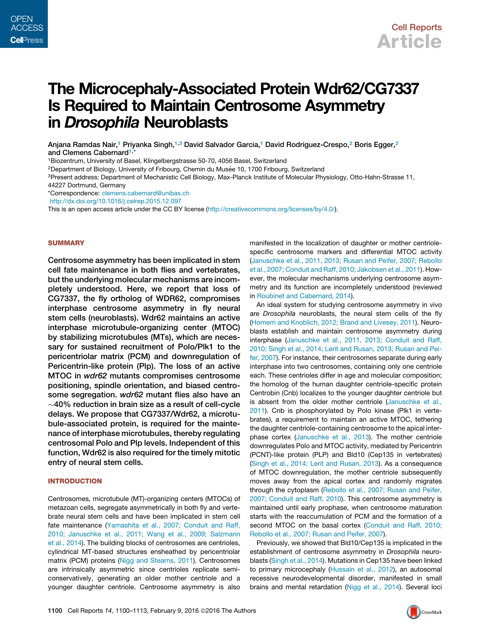# The Microcephaly-Associated Protein Wdr62/CG7337 Is Required to Maintain Centrosome Asymmetry in Drosophila Neuroblasts

Anjana Ramdas Nair,<sup>1</sup> Priyanka Singh,<sup>1,3</sup> David Salvador Garcia,<sup>1</sup> David Rodriguez-Crespo,<sup>2</sup> Boris Egger,<sup>2</sup> and Clemens Cabernard<sup>1,</sup>

<sup>1</sup>Biozentrum, University of Basel, Klingelbergstrasse 50-70, 4056 Basel, Switzerland

<sup>2</sup>Department of Biology, University of Fribourg, Chemin du Musée 10, 1700 Fribourg, Switzerland

<sup>3</sup>Present address: Department of Mechanistic Cell Biology, Max-Planck Institute of Molecular Physiology, Otto-Hahn-Strasse 11,

44227 Dortmund, Germany

\*Correspondence: clemens.cabernard@unibas.ch

http://dx.doi.org/10.1016/j.celrep.2015.12.097

This is an open access article under the CC BY license (http://creativecommons.org/licenses/by/4.0/).

#### **SUMMARY**

Centrosome asymmetry has been implicated in stem cell fate maintenance in both flies and vertebrates, but the underlying molecular mechanisms are incompletely understood. Here, we report that loss of CG7337, the fly ortholog of WDR62, compromises interphase centrosome asymmetry in fly neural stem cells (neuroblasts). Wdr62 maintains an active interphase microtubule-organizing center (MTOC) by stabilizing microtubules (MTs), which are necessary for sustained recruitment of Polo/Plk1 to the pericentriolar matrix (PCM) and downregulation of Pericentrin-like protein (Plp). The loss of an active MTOC in wdr62 mutants compromises centrosome positioning, spindle orientation, and biased centrosome segregation. wdr62 mutant flies also have an  $\sim$ 40% reduction in brain size as a result of cell-cycle delays. We propose that CG7337/Wdr62, a microtubule-associated protein, is required for the maintenance of interphase microtubules, thereby regulating centrosomal Polo and Plp levels. Independent of this function, Wdr62 is also required for the timely mitotic entry of neural stem cells.

#### INTRODUCTION

Centrosomes, microtubule (MT)-organizing centers (MTOCs) of metazoan cells, segregate asymmetrically in both fly and vertebrate neural stem cells and have been implicated in stem cell fate maintenance (Yamashita et al., 2007; Conduit and Raff, 2010; Januschke et al., 2011; Wang et al., 2009; Salzmann et al., 2014). The building blocks of centrosomes are centrioles, cylindrical MT-based structures ensheathed by pericentriolar matrix (PCM) proteins (Nigg and Stearns, 2011). Centrosomes are intrinsically asymmetric since centrioles replicate semiconservatively, generating an older mother centriole and a younger daughter centriole. Centrosome asymmetry is also

manifested in the localization of daughter or mother centriolespecific centrosome markers and differential MTOC activity (Januschke et al., 2011, 2013; Rusan and Peifer, 2007; Rebollo et al., 2007; Conduit and Raff, 2010; Jakobsen et al., 2011). However, the molecular mechanisms underlying centrosome asymmetry and its function are incompletely understood (reviewed in Roubinet and Cabernard, 2014).

An ideal system for studying centrosome asymmetry in vivo are *Drosophila* neuroblasts, the neural stem cells of the fly (Homem and Knoblich, 2012; Brand and Livesey, 2011). Neuroblasts establish and maintain centrosome asymmetry during interphase (Januschke et al., 2011, 2013; Conduit and Raff, 2010; Singh et al., 2014; Lerit and Rusan, 2013; Rusan and Peifer, 2007). For instance, their centrosomes separate during early interphase into two centrosomes, containing only one centriole each. These centrioles differ in age and molecular composition; the homolog of the human daughter centriole-specific protein Centrobin (Cnb) localizes to the younger daughter centriole but is absent from the older mother centriole (Januschke et al., 2011). Cnb is phosphorylated by Polo kinase (Plk1 in vertebrates), a requirement to maintain an active MTOC, tethering the daughter centriole-containing centrosome to the apical interphase cortex (Januschke et al., 2013). The mother centriole downregulates Polo and MTOC activity, mediated by Pericentrin (PCNT)-like protein (PLP) and Bld10 (Cep135 in vertebrates) (Singh et al., 2014; Lerit and Rusan, 2013). As a consequence of MTOC downregulation, the mother centriole subsequently moves away from the apical cortex and randomly migrates through the cytoplasm (Rebollo et al., 2007; Rusan and Peifer, 2007; Conduit and Raff, 2010). This centrosome asymmetry is maintained until early prophase, when centrosome maturation starts with the reaccumulation of PCM and the formation of a second MTOC on the basal cortex (Conduit and Raff, 2010; Rebollo et al., 2007; Rusan and Peifer, 2007).

Previously, we showed that Bld10/Cep135 is implicated in the establishment of centrosome asymmetry in *Drosophila* neuroblasts (Singh et al., 2014). Mutations in Cep135 have been linked to primary microcephaly (Hussain et al., 2012), an autosomal recessive neurodevelopmental disorder, manifested in small brains and mental retardation (Nigg et al., 2014). Several loci

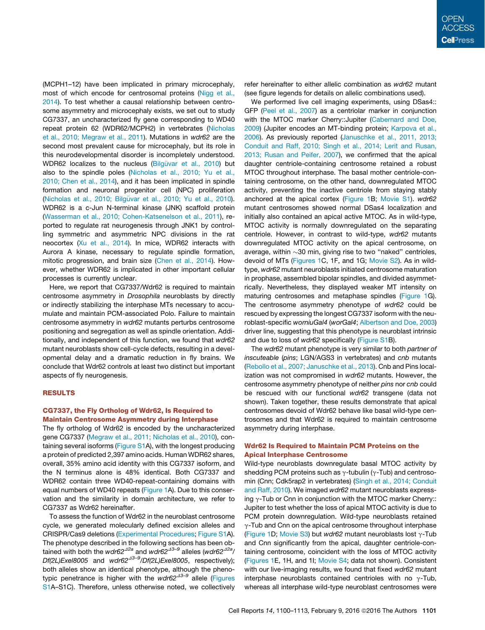(MCPH1–12) have been implicated in primary microcephaly, most of which encode for centrosomal proteins (Nigg et al., 2014). To test whether a causal relationship between centrosome asymmetry and microcephaly exists, we set out to study CG7337, an uncharacterized fly gene corresponding to WD40 repeat protein 62 (WDR62/MCPH2) in vertebrates (Nicholas et al., 2010; Megraw et al., 2011). Mutations in *wdr62* are the second most prevalent cause for microcephaly, but its role in this neurodevelopmental disorder is incompletely understood. WDR62 localizes to the nucleus (Bilgüvar et al., 2010) but also to the spindle poles (Nicholas et al., 2010; Yu et al., 2010; Chen et al., 2014), and it has been implicated in spindle formation and neuronal progenitor cell (NPC) proliferation (Nicholas et al., 2010; Bilgüvar et al., 2010; Yu et al., 2010). WDR62 is a c-Jun N-terminal kinase (JNK) scaffold protein (Wasserman et al., 2010; Cohen-Katsenelson et al., 2011), reported to regulate rat neurogenesis through JNK1 by controlling symmetric and asymmetric NPC divisions in the rat neocortex (Xu et al., 2014). In mice, WDR62 interacts with Aurora A kinase, necessary to regulate spindle formation, mitotic progression, and brain size (Chen et al., 2014). However, whether WDR62 is implicated in other important cellular processes is currently unclear.

Here, we report that CG7337/Wdr62 is required to maintain centrosome asymmetry in *Drosophila* neuroblasts by directly or indirectly stabilizing the interphase MTs necessary to accumulate and maintain PCM-associated Polo. Failure to maintain centrosome asymmetry in *wdr62* mutants perturbs centrosome positioning and segregation as well as spindle orientation. Additionally, and independent of this function, we found that *wdr62* mutant neuroblasts show cell-cycle defects, resulting in a developmental delay and a dramatic reduction in fly brains. We conclude that Wdr62 controls at least two distinct but important aspects of fly neurogenesis.

#### RESULTS

#### CG7337, the Fly Ortholog of Wdr62, Is Required to Maintain Centrosome Asymmetry during Interphase

The fly ortholog of Wdr62 is encoded by the uncharacterized gene CG7337 (Megraw et al., 2011; Nicholas et al., 2010), containing several isoforms (Figure S1A), with the longest producing a protein of predicted 2,397 amino acids. Human WDR62 shares, overall, 35% amino acid identity with this CG7337 isoform, and the N terminus alone is 48% identical. Both CG7337 and WDR62 contain three WD40-repeat-containing domains with equal numbers of WD40 repeats (Figure 1A). Due to this conservation and the similarity in domain architecture, we refer to CG7337 as Wdr62 hereinafter.

To assess the function of Wdr62 in the neuroblast centrosome cycle, we generated molecularly defined excision alleles and CRISPR/Cas9 deletions (Experimental Procedures; Figure S1A). The phenotype described in the following sections has been obtained with both the *wdr62<sup>42a</sup>* and *wdr62<sup>43–9</sup>* alleles (*wdr62<sup>42a</sup>*/ *Df(2L)Exel8005* and *wdr62<sup>43–9</sup>/Df(2L)Exel8005*, respectively); both alleles show an identical phenotype, although the phenotypic penetrance is higher with the wdr62<sup>43–9</sup> allele (Figures S1A–S1C). Therefore, unless otherwise noted, we collectively refer hereinafter to either allelic combination as *wdr62* mutant (see figure legends for details on allelic combinations used).

We performed live cell imaging experiments, using DSas4:: GFP (Peel et al., 2007) as a centriolar marker in conjunction with the MTOC marker Cherry::Jupiter (Cabernard and Doe, 2009) (Jupiter encodes an MT-binding protein; Karpova et al., 2006). As previously reported (Januschke et al., 2011, 2013; Conduit and Raff, 2010; Singh et al., 2014; Lerit and Rusan, 2013; Rusan and Peifer, 2007), we confirmed that the apical daughter centriole-containing centrosome retained a robust MTOC throughout interphase. The basal mother centriole-containing centrosome, on the other hand, downregulated MTOC activity, preventing the inactive centriole from staying stably anchored at the apical cortex (Figure 1B; Movie S1). *wdr62* mutant centrosomes showed normal DSas4 localization and initially also contained an apical active MTOC. As in wild-type, MTOC activity is normally downregulated on the separating centriole. However, in contrast to wild-type, *wdr62* mutants downregulated MTOC activity on the apical centrosome, on average, within  $\sim$ 30 min, giving rise to two "naked" centrioles, devoid of MTs (Figures 1C, 1F, and 1G; Movie S2). As in wildtype, *wdr62* mutant neuroblasts initiated centrosome maturation in prophase, assembled bipolar spindles, and divided asymmetrically. Nevertheless, they displayed weaker MT intensity on maturing centrosomes and metaphase spindles (Figure 1G). The centrosome asymmetry phenotype of *wdr62* could be rescued by expressing the longest CG7337 isoform with the neuroblast-specific *worniuGal4* (*worGal4*; Albertson and Doe, 2003) driver line, suggesting that this phenotype is neuroblast intrinsic and due to loss of *wdr62* specifically (Figure S1B).

The *wdr62* mutant phenotype is very similar to both *partner of inscuteable* (*pins*; LGN/AGS3 in vertebrates) and *cnb* mutants (Rebollo et al., 2007; Januschke et al., 2013). Cnb and Pins localization was not compromised in *wdr62* mutants. However, the centrosome asymmetry phenotype of neither *pins* nor *cnb* could be rescued with our functional *wdr62* transgene (data not shown). Taken together, these results demonstrate that apical centrosomes devoid of Wdr62 behave like basal wild-type centrosomes and that Wdr62 is required to maintain centrosome asymmetry during interphase.

#### Wdr62 Is Required to Maintain PCM Proteins on the Apical Interphase Centrosome

Wild-type neuroblasts downregulate basal MTOC activity by shedding PCM proteins such as  $\gamma$ -tubulin ( $\gamma$ -Tub) and centrosomin (Cnn; Cdk5rap2 in vertebrates) (Singh et al., 2014; Conduit and Raff, 2010). We imaged *wdr62* mutant neuroblasts expressing  $\gamma$ -Tub or Cnn in conjunction with the MTOC marker Cherry:: Jupiter to test whether the loss of apical MTOC activity is due to PCM protein downregulation. Wild-type neuroblasts retained  $\gamma$ -Tub and Cnn on the apical centrosome throughout interphase (Figure 1D; Movie S3) but *wdr62* mutant neuroblasts lost  $\gamma$ -Tub and Cnn significantly from the apical, daughter centriole-containing centrosome, coincident with the loss of MTOC activity (Figures 1E, 1H, and 1I; Movie S4; data not shown). Consistent with our live-imaging results, we found that fixed *wdr62* mutant interphase neuroblasts contained centrioles with no  $\gamma$ -Tub, whereas all interphase wild-type neuroblast centrosomes were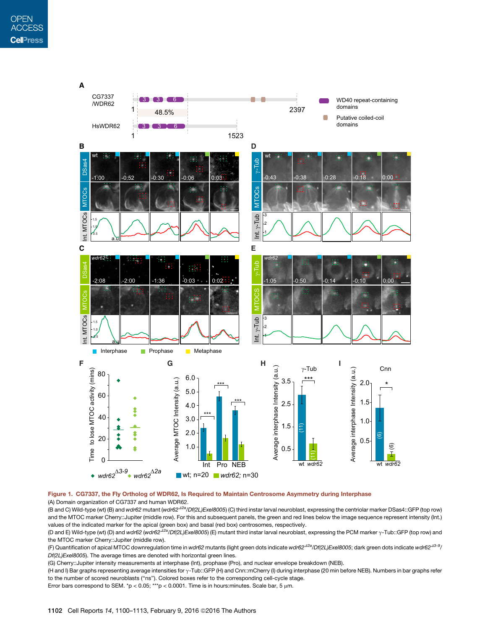

#### Figure 1. CG7337, the Fly Ortholog of WDR62, Is Required to Maintain Centrosome Asymmetry during Interphase (A) Domain organization of CG7337 and human WDR62.

(B and C) Wild-type (wt) (B) and *wdr62* mutant (*wdr62*D*2a/Df(2L)Exel8005*) (C) third instar larval neuroblast, expressing the centriolar marker DSas4::GFP (top row) and the MTOC marker Cherry::Jupiter (middle row). For this and subsequent panels, the green and red lines below the image sequence represent intensity (Int.) values of the indicated marker for the apical (green box) and basal (red box) centrosomes, respectively.

(D and E) Wild-type (wt) (D) and *wdr62 (wdr62<sup>42a</sup>/Df(2L)Exel8005*) (E) mutant third instar larval neuroblast, expressing the PCM marker  $\gamma$ -Tub::GFP (top row) and the MTOC marker Cherry::Jupiter (middle row).

(F) Quantification of apical MTOC downregulation time in *wdr62* mutants (light green dots indicate *wdr62<sup>42a</sup>/Df(2L)Exel8005*; dark green dots indicate *wdr62<sup>43-9</sup>/ Df(2L)Exel8005*). The average times are denoted with horizontal green lines.

(G) Cherry::Jupiter intensity measurements at interphase (Int), prophase (Pro), and nuclear envelope breakdown (NEB).

(H and I) Bar graphs representing average intensities for g-Tub::GFP (H) and Cnn::mCherry (I) during interphase (20 min before NEB). Numbers in bar graphs refer to the number of scored neuroblasts (''ns''). Colored boxes refer to the corresponding cell-cycle stage.

Error bars correspond to SEM. \*p < 0.05; \*\*\*p < 0.0001. Time is in hours: minutes. Scale bar, 5  $\mu$ m.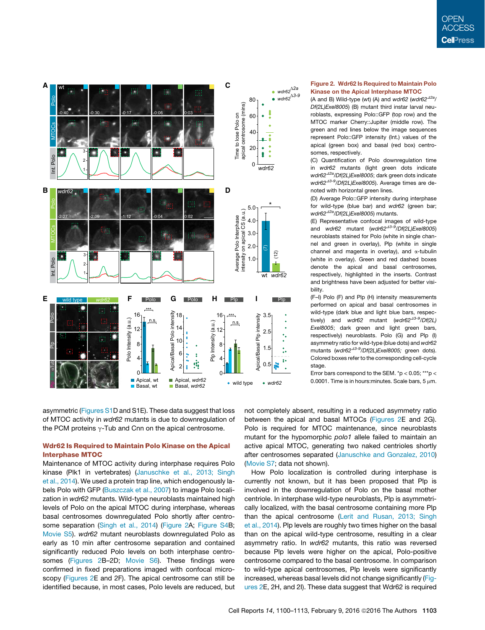

asymmetric (Figures S1D and S1E). These data suggest that loss of MTOC activity in *wdr62* mutants is due to downregulation of the PCM proteins  $\gamma$ -Tub and Cnn on the apical centrosome.

#### Wdr62 Is Required to Maintain Polo Kinase on the Apical Interphase MTOC

Maintenance of MTOC activity during interphase requires Polo kinase (Plk1 in vertebrates) (Januschke et al., 2013; Singh et al., 2014). We used a protein trap line, which endogenously labels Polo with GFP (Buszczak et al., 2007) to image Polo localization in *wdr62* mutants. Wild-type neuroblasts maintained high levels of Polo on the apical MTOC during interphase, whereas basal centrosomes downregulated Polo shortly after centrosome separation (Singh et al., 2014) (Figure 2A; Figure S4B; Movie S5). *wdr62* mutant neuroblasts downregulated Polo as early as 10 min after centrosome separation and contained significantly reduced Polo levels on both interphase centrosomes (Figures 2B-2D; Movie S6). These findings were confirmed in fixed preparations imaged with confocal microscopy (Figures 2E and 2F). The apical centrosome can still be identified because, in most cases, Polo levels are reduced, but

#### Figure 2. Wdr62 Is Required to Maintain Polo Kinase on the Apical Interphase MTOC

(A and B) Wild-type (wt) (A) and *wdr62* (*wdr62<sup>42a</sup>*/ *Df(2L)Exel8005*) (B) mutant third instar larval neuroblasts, expressing Polo::GFP (top row) and the MTOC marker Cherry::Jupiter (middle row). The green and red lines below the image sequences represent Polo::GFP intensity (Int.) values of the apical (green box) and basal (red box) centrosomes, respectively.

(C) Quantification of Polo downregulation time in *wdr62* mutants (light green dots indicate *wdr62<sup>42a</sup>/Df(2L)Exel8005*; dark green dots indicate *wdr62<sup>43-9</sup>/Df(2L)Exel8005*). Average times are denoted with horizontal green lines.

(D) Average Polo::GFP intensity during interphase for wild-type (blue bar) and *wdr62* (green bar; *wdr62<sup>42a</sup>/Df(2L)Exel8005*) mutants.

(E) Representative confocal images of wild-type and *wdr62* mutant (*wdr62<sup>43-9</sup>/Df(2L)Exel8005*) neuroblasts stained for Polo (white in single channel and green in overlay), Plp (white in single channel and magenta in overlay), and  $\alpha$ -tubulin (white in overlay). Green and red dashed boxes denote the apical and basal centrosomes, respectively, highlighted in the inserts. Contrast and brightness have been adjusted for better visibility.

(F–I) Polo (F) and Plp (H) intensity measurements performed on apical and basal centrosomes in wild-type (dark blue and light blue bars, respectively) and *wdr62* mutant (*wdr62<sup>43-9</sup>*/*Df*(2L) *Exel8005*; dark green and light green bars, respectively) neuroblasts. Polo (G) and Plp (I) asymmetry ratio for wild-type (blue dots) and *wdr62* mutants (wdr62<sup>43-9</sup>/Df(2L)Exel8005; green dots). Colored boxes refer to the corresponding cell-cycle stage.

Error bars correspond to the SEM.  $np < 0.05$ ; \*\*\* p < 0.0001. Time is in hours: minutes. Scale bars,  $5 \mu m$ .

not completely absent, resulting in a reduced asymmetry ratio between the apical and basal MTOCs (Figures 2E and 2G). Polo is required for MTOC maintenance, since neuroblasts mutant for the hypomorphic *polo1* allele failed to maintain an active apical MTOC, generating two naked centrioles shortly after centrosomes separated (Januschke and Gonzalez, 2010) (Movie S7; data not shown).

How Polo localization is controlled during interphase is currently not known, but it has been proposed that Plp is involved in the downregulation of Polo on the basal mother centriole. In interphase wild-type neuroblasts, Plp is asymmetrically localized, with the basal centrosome containing more Plp than the apical centrosome (Lerit and Rusan, 2013; Singh et al., 2014). Plp levels are roughly two times higher on the basal than on the apical wild-type centrosome, resulting in a clear asymmetry ratio. In *wdr62* mutants, this ratio was reversed because Plp levels were higher on the apical, Polo-positive centrosome compared to the basal centrosome. In comparison to wild-type apical centrosomes, Plp levels were significantly increased, whereas basal levels did not change significantly (Figures 2E, 2H, and 2I). These data suggest that Wdr62 is required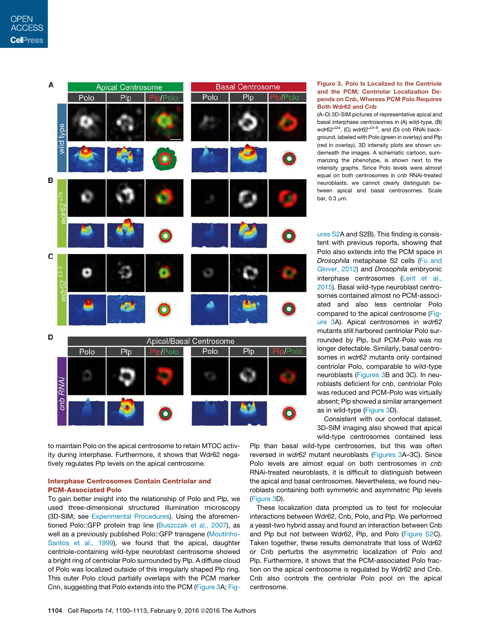| А                    | <b>Apical Centrosome</b> |                   |           | <b>Basal Centrosome</b> |     |                |
|----------------------|--------------------------|-------------------|-----------|-------------------------|-----|----------------|
|                      | Polo                     | Plp               | Pip/Polo  | Polo                    | P p | Plp/Polo       |
| wild type            |                          |                   |           |                         |     |                |
| В                    |                          |                   | $\bullet$ |                         |     | $\bullet$      |
| wdr62 <sup>A2a</sup> |                          |                   |           |                         |     |                |
|                      |                          |                   | $\bullet$ |                         |     |                |
| C<br>wdr62 43-9      |                          |                   |           |                         |     |                |
|                      |                          |                   |           |                         |     | $\bullet$      |
| D                    | Apical/Basal Centrosome  |                   |           |                         |     |                |
|                      | Polo                     | $P$ <sub>lp</sub> | Ip/Polo   | Polo                    | Plp | <b>Ip/Polo</b> |
| cnb RNAi             |                          |                   |           |                         |     |                |
|                      |                          |                   | ◘         |                         |     | Đ              |

to maintain Polo on the apical centrosome to retain MTOC activity during interphase. Furthermore, it shows that Wdr62 negatively regulates Plp levels on the apical centrosome.

#### Interphase Centrosomes Contain Centriolar and PCM-Associated Polo

To gain better insight into the relationship of Polo and Plp, we used three-dimensional structured illumination microscopy (3D-SIM; see Experimental Procedures). Using the aforementioned Polo::GFP protein trap line (Buszczak et al., 2007), as well as a previously published Polo::GFP transgene (Moutinho-Santos et al., 1999), we found that the apical, daughter centriole-containing wild-type neuroblast centrosome showed a bright ring of centriolar Polo surrounded by Plp. A diffuse cloud of Polo was localized outside of this irregularly shaped Plp ring. This outer Polo cloud partially overlaps with the PCM marker Cnn, suggesting that Polo extends into the PCM (Figure 3A; Fig-

#### Figure 3. Polo Is Localized to the Centriole and the PCM; Centriolar Localization Depends on Cnb, Whereas PCM Polo Requires Both Wdr62 and Cnb

(A–D) 3D-SIM pictures of representative apical and basal interphase centrosomes in (A) wild-type, (B)  $wdr62^{42a}$ , (C)  $wdr62^{43-9}$ , and (D) *cnb* RNAi background, labeled with Polo (green in overlay) and Plp (red in overlay). 3D intensity plots are shown underneath the images. A schematic cartoon, summarizing the phenotype, is shown next to the intensity graphs. Since Polo levels were almost equal on both centrosomes in *cnb* RNAi-treated neuroblasts, we cannot clearly distinguish between apical and basal centrosomes. Scale bar, 0.3 um.

ures S2A and S2B). This finding is consistent with previous reports, showing that Polo also extends into the PCM space in *Drosophila* metaphase S2 cells (Fu and Glover, 2012) and *Drosophila* embryonic interphase centrosomes (Lerit et al., 2015). Basal wild-type neuroblast centrosomes contained almost no PCM-associated and also less centriolar Polo compared to the apical centrosome (Figure 3A). Apical centrosomes in *wdr62* mutants still harbored centriolar Polo surrounded by Plp, but PCM-Polo was no longer detectable. Similarly, basal centrosomes in *wdr62* mutants only contained centriolar Polo, comparable to wild-type neuroblasts (Figures 3B and 3C). In neuroblasts deficient for *cnb*, centriolar Polo was reduced and PCM-Polo was virtually absent; Plp showed a similar arrangement as in wild-type (Figure 3D).

Consistent with our confocal dataset, 3D-SIM imaging also showed that apical wild-type centrosomes contained less

Plp than basal wild-type centrosomes, but this was often reversed in *wdr62* mutant neuroblasts (Figures 3A–3C). Since Polo levels are almost equal on both centrosomes in *cnb* RNAi-treated neuroblasts, it is difficult to distinguish between the apical and basal centrosomes. Nevertheless, we found neuroblasts containing both symmetric and asymmetric Plp levels (Figure 3D).

These localization data prompted us to test for molecular interactions between Wdr62, Cnb, Polo, and Plp. We performed a yeast-two hybrid assay and found an interaction between Cnb and Plp but not between Wdr62, Plp, and Polo (Figure S2C). Taken together, these results demonstrate that loss of Wdr62 or Cnb perturbs the asymmetric localization of Polo and Plp. Furthermore, it shows that the PCM-associated Polo fraction on the apical centrosome is regulated by Wdr62 and Cnb. Cnb also controls the centriolar Polo pool on the apical centrosome.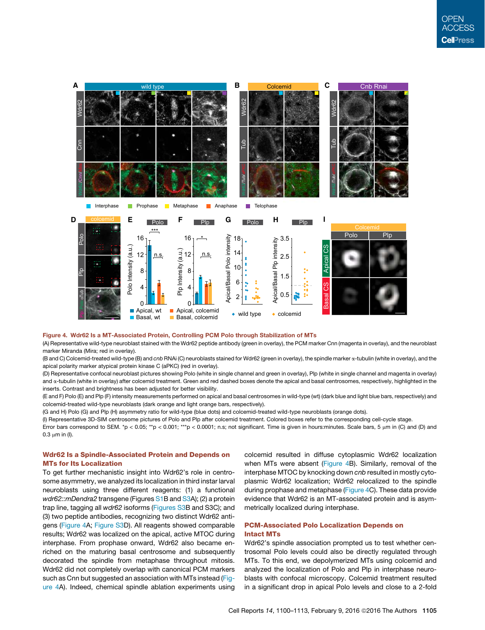

#### Figure 4. Wdr62 Is a MT-Associated Protein, Controlling PCM Polo through Stabilization of MTs

(A) Representative wild-type neuroblast stained with the Wdr62 peptide antibody (green in overlay), the PCM marker Cnn (magenta in overlay), and the neuroblast marker Miranda (Mira; red in overlay).

(B and C) Colcemid-treated wild-type (B) and *cnb* RNAi (C) neuroblasts stained for Wdr62 (green in overlay), the spindle marker a-tubulin (white in overlay), and the apical polarity marker atypical protein kinase C (aPKC) (red in overlay).

(D) Representative confocal neuroblast pictures showing Polo (white in single channel and green in overlay), Plp (white in single channel and magenta in overlay) and a-tubulin (white in overlay) after colcemid treatment. Green and red dashed boxes denote the apical and basal centrosomes, respectively, highlighted in the inserts. Contrast and brightness has been adjusted for better visibility.

(E and F) Polo (E) and Plp (F) intensity measurements performed on apical and basal centrosomes in wild-type (wt) (dark blue and light blue bars, respectively) and colcemid-treated wild-type neuroblasts (dark orange and light orange bars, respectively).

(G and H) Polo (G) and Plp (H) asymmetry ratio for wild-type (blue dots) and colcemid-treated wild-type neuroblasts (orange dots).

(I) Representative 3D-SIM centrosome pictures of Polo and Plp after colcemid treatment. Colored boxes refer to the corresponding cell-cycle stage.

Error bars correspond to SEM. \*p < 0.05; \*\*p < 0.001; \*\*\*p < 0.0001; n.s; not significant. Time is given in hours:minutes. Scale bars, 5 µm in (C) and (D) and  $0.3 \mu m$  in (I).

#### Wdr62 Is a Spindle-Associated Protein and Depends on MTs for Its Localization

To get further mechanistic insight into Wdr62's role in centrosome asymmetry, we analyzed its localization in third instar larval neuroblasts using three different reagents: (1) a functional *wdr62::mDendra2* transgene (Figures S1B and S3A); (2) a protein trap line, tagging all *wdr62* isoforms (Figures S3B and S3C); and (3) two peptide antibodies, recognizing two distinct Wdr62 antigens (Figure 4A; Figure S3D). All reagents showed comparable results; Wdr62 was localized on the apical, active MTOC during interphase. From prophase onward, Wdr62 also became enriched on the maturing basal centrosome and subsequently decorated the spindle from metaphase throughout mitosis. Wdr62 did not completely overlap with canonical PCM markers such as Cnn but suggested an association with MTs instead (Figure 4A). Indeed, chemical spindle ablation experiments using colcemid resulted in diffuse cytoplasmic Wdr62 localization when MTs were absent (Figure 4B). Similarly, removal of the interphase MTOC by knocking down *cnb* resulted in mostly cytoplasmic Wdr62 localization; Wdr62 relocalized to the spindle during prophase and metaphase (Figure 4C). These data provide evidence that Wdr62 is an MT-associated protein and is asymmetrically localized during interphase.

#### PCM-Associated Polo Localization Depends on Intact MTs

Wdr62's spindle association prompted us to test whether centrosomal Polo levels could also be directly regulated through MTs. To this end, we depolymerized MTs using colcemid and analyzed the localization of Polo and Plp in interphase neuroblasts with confocal microscopy. Colcemid treatment resulted in a significant drop in apical Polo levels and close to a 2-fold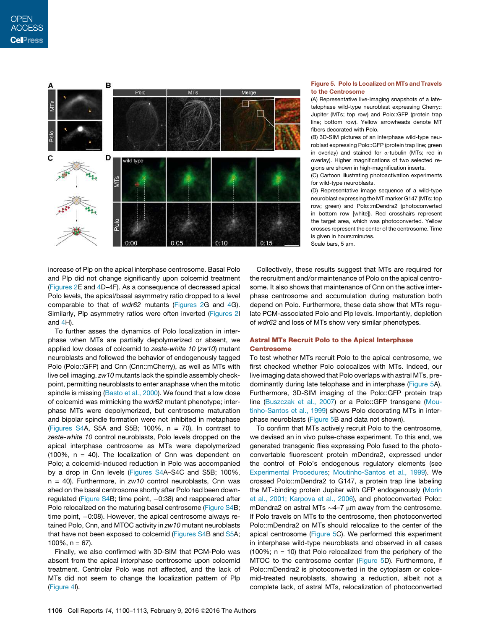

#### Figure 5. Polo Is Localized on MTs and Travels to the Centrosome

(A) Representative live-imaging snapshots of a latetelophase wild-type neuroblast expressing Cherry:: Jupiter (MTs; top row) and Polo::GFP (protein trap line; bottom row). Yellow arrowheads denote MT fibers decorated with Polo.

(B) 3D-SIM pictures of an interphase wild-type neuroblast expressing Polo::GFP (protein trap line; green in overlay) and stained for  $\alpha$ -tubulin (MTs; red in overlay). Higher magnifications of two selected regions are shown in high-magnification inserts.

(C) Cartoon illustrating photoactivation experiments for wild-type neuroblasts.

(D) Representative image sequence of a wild-type neuroblast expressing the MT marker G147 (MTs; top row; green) and Polo::mDendra2 (photoconverted in bottom row [white]). Red crosshairs represent the target area, which was photoconverted. Yellow crosses represent the center of the centrosome. Time is given in hours: minutes. Scale bars,  $5 \mu m$ .

increase of Plp on the apical interphase centrosome. Basal Polo and Plp did not change significantly upon colcemid treatment (Figures 2E and 4D–4F). As a consequence of decreased apical Polo levels, the apical/basal asymmetry ratio dropped to a level comparable to that of *wdr62* mutants (Figures 2G and 4G). Similarly, Plp asymmetry ratios were often inverted (Figures 2I and 4H).

To further asses the dynamics of Polo localization in interphase when MTs are partially depolymerized or absent, we applied low doses of colcemid to *zeste-white 10* (*zw10*) mutant neuroblasts and followed the behavior of endogenously tagged Polo (Polo::GFP) and Cnn (Cnn::mCherry), as well as MTs with live cell imaging. *zw10* mutants lack the spindle assembly checkpoint, permitting neuroblasts to enter anaphase when the mitotic spindle is missing (Basto et al., 2000). We found that a low dose of colcemid was mimicking the *wdr62* mutant phenotype; interphase MTs were depolymerized, but centrosome maturation and bipolar spindle formation were not inhibited in metaphase (Figures S4A, S5A and S5B; 100%,  $n = 70$ ). In contrast to *zeste-white 10* control neuroblasts, Polo levels dropped on the apical interphase centrosome as MTs were depolymerized  $(100\%$ ,  $n = 40)$ . The localization of Cnn was dependent on Polo; a colcemid-induced reduction in Polo was accompanied by a drop in Cnn levels (Figures S4A–S4C and S5B; 100%, n = 40). Furthermore, in *zw10* control neuroblasts, Cnn was shed on the basal centrosome shortly after Polo had been downregulated (Figure S4B; time point,  $-0.38$ ) and reappeared after Polo relocalized on the maturing basal centrosome (Figure S4B; time point,  $-0:08$ ). However, the apical centrosome always retained Polo, Cnn, and MTOC activity in *zw10* mutant neuroblasts that have not been exposed to colcemid (Figures S4B and S5A; 100%,  $n = 67$ ).

Finally, we also confirmed with 3D-SIM that PCM-Polo was absent from the apical interphase centrosome upon colcemid treatment. Centriolar Polo was not affected, and the lack of MTs did not seem to change the localization pattern of Plp (Figure 4I).

Collectively, these results suggest that MTs are required for the recruitment and/or maintenance of Polo on the apical centrosome. It also shows that maintenance of Cnn on the active interphase centrosome and accumulation during maturation both depend on Polo. Furthermore, these data show that MTs regulate PCM-associated Polo and Plp levels. Importantly, depletion of *wdr62* and loss of MTs show very similar phenotypes.

#### Astral MTs Recruit Polo to the Apical Interphase **Centrosome**

To test whether MTs recruit Polo to the apical centrosome, we first checked whether Polo colocalizes with MTs. Indeed, our live imaging data showed that Polo overlaps with astral MTs, predominantly during late telophase and in interphase (Figure 5A). Furthermore, 3D-SIM imaging of the Polo::GFP protein trap line (Buszczak et al., 2007) or a Polo::GFP transgene (Moutinho-Santos et al., 1999) shows Polo decorating MTs in interphase neuroblasts (Figure 5B and data not shown).

To confirm that MTs actively recruit Polo to the centrosome, we devised an in vivo pulse-chase experiment. To this end, we generated transgenic flies expressing Polo fused to the photoconvertable fluorescent protein mDendra2, expressed under the control of Polo's endogenous regulatory elements (see Experimental Procedures; Moutinho-Santos et al., 1999). We crossed Polo::mDendra2 to G147, a protein trap line labeling the MT-binding protein Jupiter with GFP endogenously (Morin et al., 2001; Karpova et al., 2006), and photoconverted Polo:: mDendra2 on astral MTs  $\sim$ 4–7  $\mu$ m away from the centrosome. If Polo travels on MTs to the centrosome, then photoconverted Polo::mDendra2 on MTs should relocalize to the center of the apical centrosome (Figure 5C). We performed this experiment in interphase wild-type neuroblasts and observed in all cases  $(100\%; n = 10)$  that Polo relocalized from the periphery of the MTOC to the centrosome center (Figure 5D). Furthermore, if Polo::mDendra2 is photoconverted in the cytoplasm or colcemid-treated neuroblasts, showing a reduction, albeit not a complete lack, of astral MTs, relocalization of photoconverted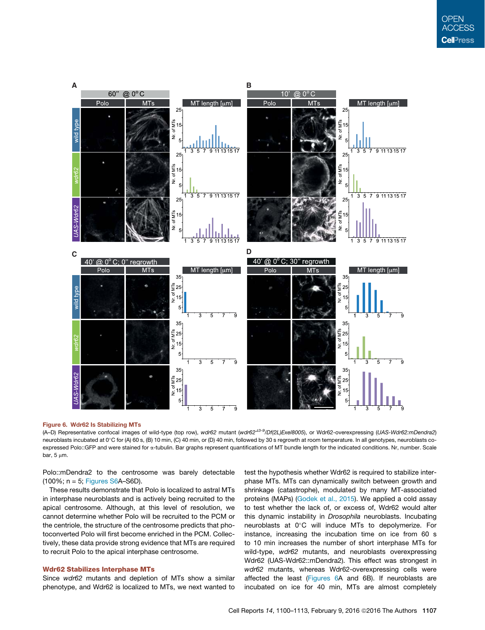

#### Figure 6. Wdr62 Is Stabilizing MTs

(A–D) Representative confocal images of wild-type (top row), wdr62 mutant (wdr62<sup>43-9</sup>/Df(2L)Exel8005), or Wdr62-overexpressing (UAS-Wdr62:mDendra2) neuroblasts incubated at 0°C for (A) 60 s, (B) 10 min, (C) 40 min, or (D) 40 min, followed by 30 s regrowth at room temperature. In all genotypes, neuroblasts coexpressed Polo::GFP and were stained for «-tubulin. Bar graphs represent quantifications of MT bundle length for the indicated conditions. Nr, number. Scale bar,  $5 \mu m$ .

Polo::mDendra2 to the centrosome was barely detectable (100%; n = 5; Figures S6A–S6D).

These results demonstrate that Polo is localized to astral MTs in interphase neuroblasts and is actively being recruited to the apical centrosome. Although, at this level of resolution, we cannot determine whether Polo will be recruited to the PCM or the centriole, the structure of the centrosome predicts that photoconverted Polo will first become enriched in the PCM. Collectively, these data provide strong evidence that MTs are required to recruit Polo to the apical interphase centrosome.

#### Wdr62 Stabilizes Interphase MTs

Since *wdr62* mutants and depletion of MTs show a similar phenotype, and Wdr62 is localized to MTs, we next wanted to test the hypothesis whether Wdr62 is required to stabilize interphase MTs. MTs can dynamically switch between growth and shrinkage (catastrophe), modulated by many MT-associated proteins (MAPs) (Godek et al., 2015). We applied a cold assay to test whether the lack of, or excess of, Wdr62 would alter this dynamic instability in *Drosophila* neuroblasts. Incubating neuroblasts at 0°C will induce MTs to depolymerize. For instance, increasing the incubation time on ice from 60 s to 10 min increases the number of short interphase MTs for wild-type, *wdr62* mutants, and neuroblasts overexpressing Wdr62 (UAS-Wdr62::mDendra2). This effect was strongest in *wdr62* mutants, whereas Wdr62-overexpressing cells were affected the least (Figures 6A and 6B). If neuroblasts are incubated on ice for 40 min, MTs are almost completely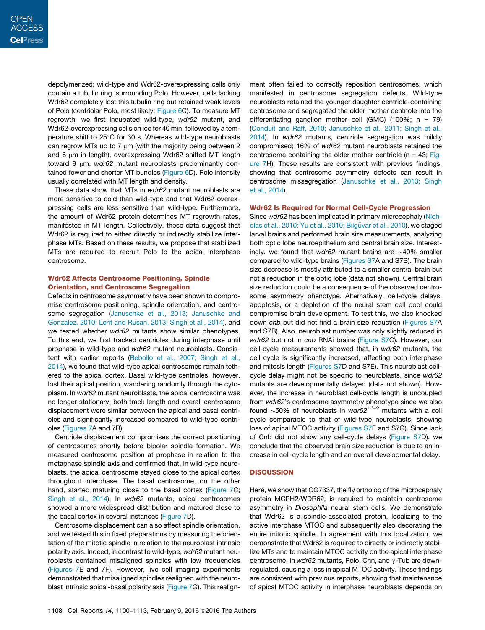depolymerized; wild-type and Wdr62-overexpressing cells only contain a tubulin ring, surrounding Polo. However, cells lacking Wdr62 completely lost this tubulin ring but retained weak levels of Polo (centriolar Polo, most likely; Figure 6C). To measure MT regrowth, we first incubated wild-type, *wdr62* mutant, and Wdr62-overexpressing cells on ice for 40 min, followed by a temperature shift to 25°C for 30 s. Whereas wild-type neuroblasts can regrow MTs up to 7  $\mu$ m (with the majority being between 2 and  $6 \mu m$  in length), overexpressing Wdr62 shifted MT length toward 9 um. *wdr62* mutant neuroblasts predominantly contained fewer and shorter MT bundles (Figure 6D). Polo intensity usually correlated with MT length and density.

These data show that MTs in *wdr62* mutant neuroblasts are more sensitive to cold than wild-type and that Wdr62-overexpressing cells are less sensitive than wild-type. Furthermore, the amount of Wdr62 protein determines MT regrowth rates, manifested in MT length. Collectively, these data suggest that Wdr62 is required to either directly or indirectly stabilize interphase MTs. Based on these results, we propose that stabilized MTs are required to recruit Polo to the apical interphase centrosome.

#### Wdr62 Affects Centrosome Positioning, Spindle Orientation, and Centrosome Segregation

Defects in centrosome asymmetry have been shown to compromise centrosome positioning, spindle orientation, and centrosome segregation (Januschke et al., 2013; Januschke and Gonzalez, 2010; Lerit and Rusan, 2013; Singh et al., 2014), and we tested whether *wdr62* mutants show similar phenotypes. To this end, we first tracked centrioles during interphase until prophase in wild-type and *wdr62* mutant neuroblasts. Consistent with earlier reports (Rebollo et al., 2007; Singh et al., 2014), we found that wild-type apical centrosomes remain tethered to the apical cortex. Basal wild-type centrioles, however, lost their apical position, wandering randomly through the cytoplasm. In *wdr62* mutant neuroblasts, the apical centrosome was no longer stationary; both track length and overall centrosome displacement were similar between the apical and basal centrioles and significantly increased compared to wild-type centrioles (Figures 7A and 7B).

Centriole displacement compromises the correct positioning of centrosomes shortly before bipolar spindle formation. We measured centrosome position at prophase in relation to the metaphase spindle axis and confirmed that, in wild-type neuroblasts, the apical centrosome stayed close to the apical cortex throughout interphase. The basal centrosome, on the other hand, started maturing close to the basal cortex (Figure 7C; Singh et al., 2014). In *wdr62* mutants, apical centrosomes showed a more widespread distribution and matured close to the basal cortex in several instances (Figure 7D).

Centrosome displacement can also affect spindle orientation, and we tested this in fixed preparations by measuring the orientation of the mitotic spindle in relation to the neuroblast intrinsic polarity axis. Indeed, in contrast to wild-type, *wdr62* mutant neuroblasts contained misaligned spindles with low frequencies (Figures 7E and 7F). However, live cell imaging experiments demonstrated that misaligned spindles realigned with the neuroblast intrinsic apical-basal polarity axis (Figure 7G). This realign-

ment often failed to correctly reposition centrosomes, which manifested in centrosome segregation defects. Wild-type neuroblasts retained the younger daughter centriole-containing centrosome and segregated the older mother centriole into the differentiating ganglion mother cell (GMC) (100%;  $n = 79$ ) (Conduit and Raff, 2010; Januschke et al., 2011; Singh et al., 2014). In *wdr62* mutants, centriole segregation was mildly compromised; 16% of *wdr62* mutant neuroblasts retained the centrosome containing the older mother centriole ( $n = 43$ ; Figure 7H). These results are consistent with previous findings, showing that centrosome asymmetry defects can result in centrosome missegregation (Januschke et al., 2013; Singh et al., 2014).

#### Wdr62 Is Required for Normal Cell-Cycle Progression

Since *wdr62* has been implicated in primary microcephaly (Nicholas et al., 2010; Yu et al., 2010; Bilgüvar et al., 2010), we staged larval brains and performed brain size measurements, analyzing both optic lobe neuroepithelium and central brain size. Interestingly, we found that  $wdr62$  mutant brains are  $\sim$ 40% smaller compared to wild-type brains (Figures S7A and S7B). The brain size decrease is mostly attributed to a smaller central brain but not a reduction in the optic lobe (data not shown). Central brain size reduction could be a consequence of the observed centrosome asymmetry phenotype. Alternatively, cell-cycle delays, apoptosis, or a depletion of the neural stem cell pool could compromise brain development. To test this, we also knocked down *cnb* but did not find a brain size reduction (Figures S7A and S7B). Also, neuroblast number was only slightly reduced in *wdr62* but not in *cnb* RNAi brains (Figure S7C). However, our cell-cycle measurements showed that, in *wdr62* mutants, the cell cycle is significantly increased, affecting both interphase and mitosis length (Figures S7D and S7E). This neuroblast cellcycle delay might not be specific to neuroblasts, since *wdr62* mutants are developmentally delayed (data not shown). However, the increase in neuroblast cell-cycle length is uncoupled from *wdr62*'s centrosome asymmetry phenotype since we also found  $~50\%$  of neuroblasts in  $wdr62^{43-9}$  mutants with a cell cycle comparable to that of wild-type neuroblasts, showing loss of apical MTOC activity (Figures S7F and S7G). Since lack of Cnb did not show any cell-cycle delays (Figure S7D), we conclude that the observed brain size reduction is due to an increase in cell-cycle length and an overall developmental delay.

#### **DISCUSSION**

Here, we show that CG7337, the fly ortholog of the microcephaly protein MCPH2/WDR62, is required to maintain centrosome asymmetry in *Drosophila* neural stem cells. We demonstrate that Wdr62 is a spindle-associated protein, localizing to the active interphase MTOC and subsequently also decorating the entire mitotic spindle. In agreement with this localization, we demonstrate that Wdr62 is required to directly or indirectly stabilize MTs and to maintain MTOC activity on the apical interphase centrosome. In *wdr62* mutants, Polo, Cnn, and y-Tub are downregulated, causing a loss in apical MTOC activity. These findings are consistent with previous reports, showing that maintenance of apical MTOC activity in interphase neuroblasts depends on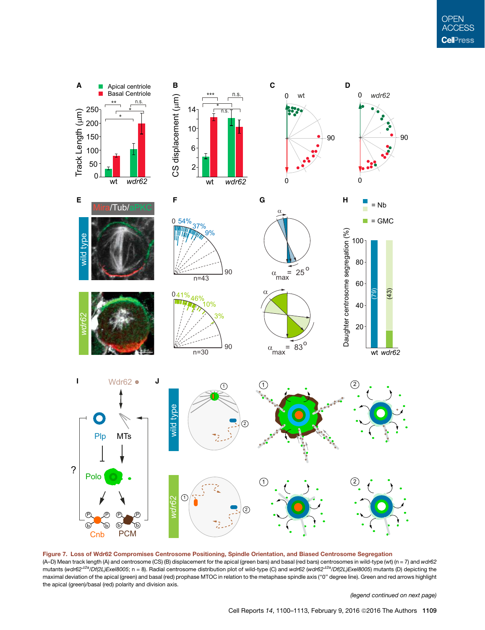

Figure 7. Loss of Wdr62 Compromises Centrosome Positioning, Spindle Orientation, and Biased Centrosome Segregation (A–D) Mean track length (A) and centrosome (CS) (B) displacement for the apical (green bars) and basal (red bars) centrosomes in wild-type (wt) (n = 7) and *wdr62* mutants (wdr62<sup>42a</sup>/Df(2L)Exel8005; n = 8). Radial centrosome distribution plot of wild-type (C) and wdr62 (wdr62<sup>42a</sup>/Df(2L)Exel8005) mutants (D) depicting the maximal deviation of the apical (green) and basal (red) prophase MTOC in relation to the metaphase spindle axis (''0'' degree line). Green and red arrows highlight the apical (green)/basal (red) polarity and division axis.

*(legend continued on next page)*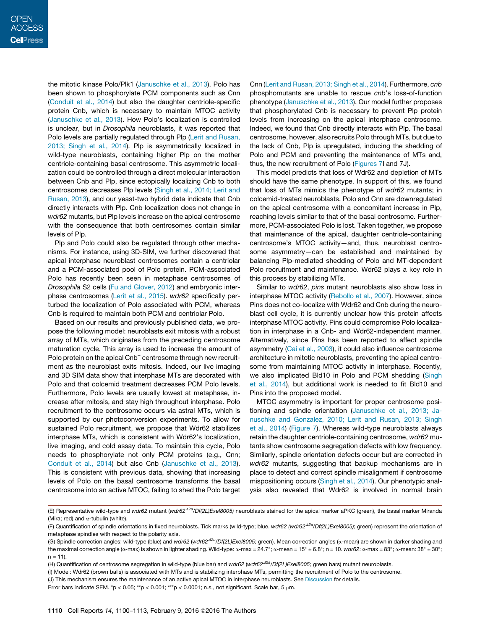the mitotic kinase Polo/Plk1 (Januschke et al., 2013). Polo has been shown to phosphorylate PCM components such as Cnn (Conduit et al., 2014) but also the daughter centriole-specific protein Cnb, which is necessary to maintain MTOC activity (Januschke et al., 2013). How Polo's localization is controlled is unclear, but in *Drosophila* neuroblasts, it was reported that Polo levels are partially regulated through Plp (Lerit and Rusan, 2013; Singh et al., 2014). Plp is asymmetrically localized in wild-type neuroblasts, containing higher Plp on the mother centriole-containing basal centrosome. This asymmetric localization could be controlled through a direct molecular interaction between Cnb and Plp, since ectopically localizing Cnb to both centrosomes decreases Plp levels (Singh et al., 2014; Lerit and Rusan, 2013), and our yeast-two hybrid data indicate that Cnb directly interacts with Plp. Cnb localization does not change in *wdr62* mutants, but Plp levels increase on the apical centrosome with the consequence that both centrosomes contain similar levels of Plp.

Plp and Polo could also be regulated through other mechanisms. For instance, using 3D-SIM, we further discovered that apical interphase neuroblast centrosomes contain a centriolar and a PCM-associated pool of Polo protein. PCM-associated Polo has recently been seen in metaphase centrosomes of *Drosophila* S2 cells (Fu and Glover, 2012) and embryonic interphase centrosomes (Lerit et al., 2015). *wdr62* specifically perturbed the localization of Polo associated with PCM, whereas Cnb is required to maintain both PCM and centriolar Polo.

Based on our results and previously published data, we propose the following model: neuroblasts exit mitosis with a robust array of MTs, which originates from the preceding centrosome maturation cycle. This array is used to increase the amount of Polo protein on the apical Cnb<sup>+</sup> centrosome through new recruitment as the neuroblast exits mitosis. Indeed, our live imaging and 3D SIM data show that interphase MTs are decorated with Polo and that colcemid treatment decreases PCM Polo levels. Furthermore, Polo levels are usually lowest at metaphase, increase after mitosis, and stay high throughout interphase. Polo recruitment to the centrosome occurs via astral MTs, which is supported by our photoconversion experiments. To allow for sustained Polo recruitment, we propose that Wdr62 stabilizes interphase MTs, which is consistent with Wdr62's localization, live imaging, and cold assay data. To maintain this cycle, Polo needs to phosphorylate not only PCM proteins (e.g., Cnn; Conduit et al., 2014) but also Cnb (Januschke et al., 2013). This is consistent with previous data, showing that increasing levels of Polo on the basal centrosome transforms the basal centrosome into an active MTOC, failing to shed the Polo target

Cnn (Lerit and Rusan, 2013; Singh et al., 2014). Furthermore, *cnb* phosphomutants are unable to rescue *cnb*'s loss-of-function phenotype (Januschke et al., 2013). Our model further proposes that phosphorylated Cnb is necessary to prevent Plp protein levels from increasing on the apical interphase centrosome. Indeed, we found that Cnb directly interacts with Plp. The basal centrosome, however, also recruits Polo through MTs, but due to the lack of Cnb, Plp is upregulated, inducing the shedding of Polo and PCM and preventing the maintenance of MTs and, thus, the new recruitment of Polo (Figures 7I and 7J).

This model predicts that loss of Wdr62 and depletion of MTs should have the same phenotype. In support of this, we found that loss of MTs mimics the phenotype of *wdr62* mutants; in colcemid-treated neuroblasts, Polo and Cnn are downregulated on the apical centrosome with a concomitant increase in Plp, reaching levels similar to that of the basal centrosome. Furthermore, PCM-associated Polo is lost. Taken together, we propose that maintenance of the apical, daughter centriole-containing centrosome's MTOC activity—and, thus, neuroblast centrosome asymmetry—can be established and maintained by balancing Plp-mediated shedding of Polo and MT-dependent Polo recruitment and maintenance. Wdr62 plays a key role in this process by stabilizing MTs.

Similar to *wdr62*, *pins* mutant neuroblasts also show loss in interphase MTOC activity (Rebollo et al., 2007). However, since Pins does not co-localize with Wdr62 and Cnb during the neuroblast cell cycle, it is currently unclear how this protein affects interphase MTOC activity. Pins could compromise Polo localization in interphase in a Cnb- and Wdr62-independent manner. Alternatively, since Pins has been reported to affect spindle asymmetry (Cai et al., 2003), it could also influence centrosome architecture in mitotic neuroblasts, preventing the apical centrosome from maintaining MTOC activity in interphase. Recently, we also implicated Bld10 in Polo and PCM shedding (Singh et al., 2014), but additional work is needed to fit Bld10 and Pins into the proposed model.

MTOC asymmetry is important for proper centrosome positioning and spindle orientation (Januschke et al., 2013; Januschke and Gonzalez, 2010; Lerit and Rusan, 2013; Singh et al., 2014) (Figure 7). Whereas wild-type neuroblasts always retain the daughter centriole-containing centrosome, *wdr62* mutants show centrosome segregation defects with low frequency. Similarly, spindle orientation defects occur but are corrected in *wdr62* mutants, suggesting that backup mechanisms are in place to detect and correct spindle misalignment if centrosome mispositioning occurs (Singh et al., 2014). Our phenotypic analysis also revealed that Wdr62 is involved in normal brain

<sup>(</sup>E) Representative wild-type and wdr62 mutant (wdr62<sup>42a</sup>/Df(2L)Exel8005) neuroblasts stained for the apical marker aPKC (green), the basal marker Miranda (Mira; red) and a-tubulin (white).

<sup>(</sup>F) Quantification of spindle orientations in fixed neuroblasts. Tick marks (wild-type; blue. *wdr62 (wdr62<sup>42a</sup>/Df(2L)Exel8005)*; green) represent the orientation of metaphase spindles with respect to the polarity axis.

<sup>(</sup>G) Spindle correction angles; wild-type (blue) and *wdr62* (*wdr62*D*2a/Df(2L)Exel8005;* green). Mean correction angles (a-mean) are shown in darker shading and the maximal correction angle (*α*-max) is shown in lighter shading. Wild-type: *α-*max = 24.7°; *α-*mean = 15° ± 6.8°; n = 10. *wdr62*: *α-*max = 83°; α-mean: 38° ± 30°;  $n = 11$ .

<sup>(</sup>H) Quantification of centrosome segregation in wild-type (blue bar) and *wdr62* (*wdr62*D*2a/Df(2L)Exel8005;* green bars) mutant neuroblasts.

<sup>(</sup>I) Model: Wdr62 (brown balls) is associated with MTs and is stabilizing interphase MTs, permitting the recruitment of Polo to the centrosome.

<sup>(</sup>J) This mechanism ensures the maintenance of an active apical MTOC in interphase neuroblasts. See Discussion for details.

Error bars indicate SEM. \*p < 0.05; \*\*p < 0.001; \*\*\*p < 0.0001; n.s., not significant. Scale bar, 5  $\mu$ m.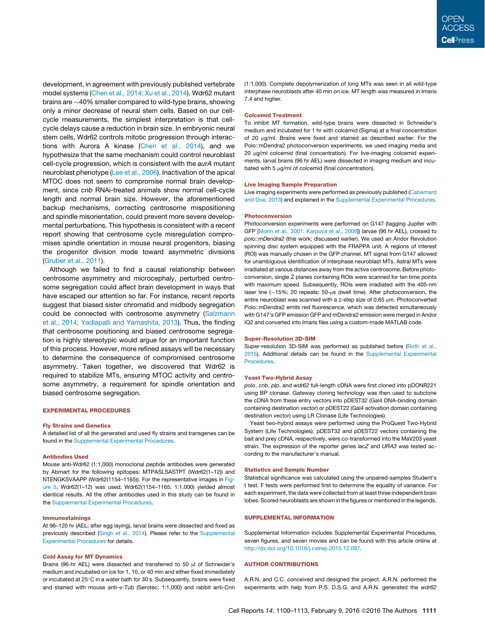development, in agreement with previously published vertebrate model systems (Chen et al., 2014; Xu et al., 2014). Wdr62 mutant brains are  $\sim$  40% smaller compared to wild-type brains, showing only a minor decrease of neural stem cells. Based on our cellcycle measurements, the simplest interpretation is that cellcycle delays cause a reduction in brain size. In embryonic neural stem cells, Wdr62 controls mitotic progression through interactions with Aurora A kinase (Chen et al., 2014), and we hypothesize that the same mechanism could control neuroblast cell-cycle progression, which is consistent with the *aurA* mutant neuroblast phenotype (Lee et al., 2006). Inactivation of the apical MTOC does not seem to compromise normal brain development, since *cnb* RNAi-treated animals show normal cell-cycle length and normal brain size. However, the aforementioned backup mechanisms, correcting centrosome mispositioning and spindle misorientation, could prevent more severe developmental perturbations. This hypothesis is consistent with a recent report showing that centrosome cycle misregulation compromises spindle orientation in mouse neural progenitors, biasing the progenitor division mode toward asymmetric divisions (Gruber et al., 2011).

Although we failed to find a causal relationship between centrosome asymmetry and microcephaly, perturbed centrosome segregation could affect brain development in ways that have escaped our attention so far. For instance, recent reports suggest that biased sister chromatid and midbody segregation could be connected with centrosome asymmetry (Salzmann et al., 2014; Yadlapalli and Yamashita, 2013). Thus, the finding that centrosome positioning and biased centrosome segregation is highly stereotypic would argue for an important function of this process. However, more refined assays will be necessary to determine the consequence of compromised centrosome asymmetry. Taken together, we discovered that Wdr62 is required to stabilize MTs, ensuring MTOC activity and centrosome asymmetry, a requirement for spindle orientation and biased centrosome segregation.

#### EXPERIMENTAL PROCEDURES

#### Fly Strains and Genetics

A detailed list of all the generated and used fly strains and transgenes can be found in the Supplemental Experimental Procedures.

#### Antibodies Used

Mouse anti-Wdr62 (1:1,000) monoclonal peptide antibodies were generated by Abmart for the following epitopes: MTPASLSASTPT (Wdr62(1–12)) and NTENGKSVAAPP (Wdr62(1154–1165)). For the representative images in Figure 5, Wdr62(1–12) was used; Wdr62(1154–1165; 1:1,000) yielded almost identical results. All the other antibodies used in this study can be found in the Supplemental Experimental Procedures.

#### Immunostainings

At 96–120 hr (AEL; after egg laying), larval brains were dissected and fixed as previously described (Singh et al., 2014). Please refer to the Supplemental Experimental Procedures for details.

#### Cold Assay for MT Dynamics

Brains (96-hr AEL) were dissected and transferred to 50 µl of Schneider's medium and incubated on ice for 1, 10, or 40 min and either fixed immediately or incubated at  $25^{\circ}$ C in a water bath for 30 s. Subsequently, brains were fixed and stained with mouse anti- $\alpha$ -Tub (Serotec; 1:1,000) and rabbit anti-Cnn

(1:1,000). Complete depolymerization of long MTs was seen in all wild-type interphase neuroblasts after 40 min on ice. MT length was measured in Imaris 7.4 and higher.

#### Colcemid Treatment

To inhibit MT formation, wild-type brains were dissected in Schneider's medium and incubated for 1 hr with colcemid (Sigma) at a final concentration of 20 µg/ml. Brains were fixed and stained as described earlier. For the Polo::mDendra2 photoconversion experiments, we used imaging media and 20 µg/ml colcemid (final concentration). For live-imaging colcemid experiments, larval brains (96 hr AEL) were dissected in imaging medium and incubated with 5  $\mu$ g/ml of colcemid (final concentration).

#### Live Imaging Sample Preparation

Live imaging experiments were performed as previously published (Cabernard and Doe, 2013) and explained in the Supplemental Experimental Procedures.

#### Photoconversion

Photoconversion experiments were performed on G147 (tagging Jupiter with GFP [Morin et al., 2001; Karpova et al., 2006]) larvae (96 hr AEL), crossed to *polo::mDendra2* (this work; discussed earlier). We used an Andor Revolution spinning disc system equipped with the FRAPPA unit. A regions of interest (ROI) was manually chosen in the GFP channel. MT signal from G147 allowed for unambiguous identification of interphase neuroblast MTs. Astral MTs were irradiated at various distances away from the active centrosome. Before photoconversion, single Z planes containing ROIs were scanned for ten time points with maximum speed. Subsequently, ROIs were irradiated with the 405-nm laser line  $(\sim 15\%; 20$  repeats; 50-us dwell time). After photoconversion, the entire neuroblast was scanned with a z-step size of  $0.65 \mu m$ . Photoconverted Polo::mDendra2 emits red fluorescence, which was detected simultaneously with G147's GFP emission GFP and mDendra2 emission were merged in Andor IQ2 and converted into Imaris files using a custom-made MATLAB code.

#### Super-Resolution 3D-SIM

Super-resolution 3D-SIM was performed as published before (Roth et al., 2015). Additional details can be found in the Supplemental Experimental Procedures.

#### Yeast Two-Hybrid Assay

*polo*, *cnb*, *plp*, and *wdr62* full-length cDNA were first cloned into pDONR221 using BP clonase. Gateway cloning technology was then used to subclone the cDNA from these entry vectors into pDEST32 (Gal4 DNA-binding domain containing destination vector) or pDEST22 (Gal4 activation domain containing destination vector) using LR Clonase (Life Technologies).

Yeast two-hybrid assays were performed using the ProQuest Two-Hybrid System (Life Technologies). pDEST32 and pDEST22 vectors containing the bait and prey cDNA, respectively, were co-transformed into the MaV203 yeast strain. The expression of the reporter genes *lacZ* and *URA3* was tested according to the manufacturer's manual.

#### Statistics and Sample Number

Statistical significance was calculated using the unpaired-samples Student's t test. F tests were performed first to determine the equality of variance. For each experiment, the data were collected from at least three independent brain lobes. Scored neuroblasts are shown in the figures or mentioned in the legends.

#### SUPPLEMENTAL INFORMATION

Supplemental Information includes Supplemental Experimental Procedures, seven figures, and seven movies and can be found with this article online at http://dx.doi.org/10.1016/j.celrep.2015.12.097.

#### AUTHOR CONTRIBUTIONS

A.R.N. and C.C. conceived and designed the project. A.R.N. performed the experiments with help from P.S. D.S.G. and A.R.N. generated the *wdr62*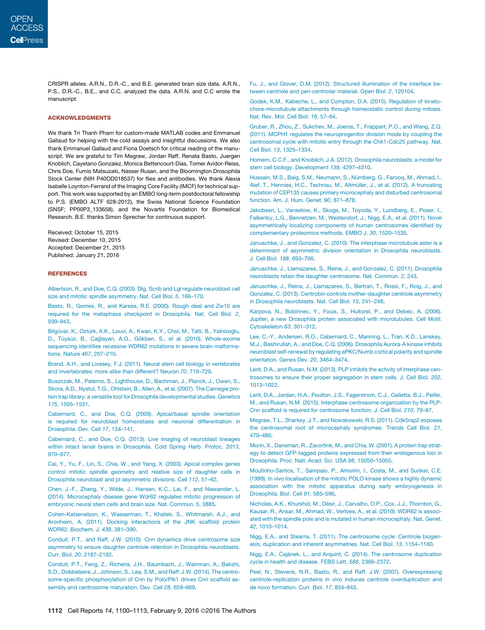CRISPR alleles. A.R.N., D.R.-C., and B.E. generated brain size data. A.R.N., P.S., D.R.-C., B.E., and C.C. analyzed the data. A.R.N. and C.C wrote the manuscript.

#### ACKNOWLEDGMENTS

We thank Tri Thanh Pham for custom-made MATLAB codes and Emmanuel Gallaud for helping with the cold assays and insightful discussions. We also thank Emmanuel Gallaud and Fiona Doetsch for critical reading of the manuscript. We are grateful to Tim Megraw, Jordan Raff, Renata Basto, Juergen Knoblich, Cayetano Gonzalez, Monica Bettencourt-Dias, Tomer Avidor-Reiss, Chris Doe, Fumio Matsuzaki, Nasser Rusan, and the Bloomington Drosophila Stock Center (NIH P40OD018537) for flies and antibodies. We thank Alexia Isabelle Loynton-Ferrand of the Imaging Core Facility (IMCF) for technical support. This work was supported by an EMBO long-term postdoctoral fellowship to P.S. (EMBO ALTF 628-2012), the Swiss National Science Foundation (SNSF; PP00P3\_133658), and the Novartis Foundation for Biomedical Research. B.E. thanks Simon Sprecher for continuous support.

Received: October 15, 2015 Revised: December 10, 2015 Accepted: December 21, 2015 Published: January 21, 2016

#### REFERENCES

Albertson, R., and Doe, C.Q. (2003). Dlg, Scrib and Lgl regulate neuroblast cell size and mitotic spindle asymmetry. Nat. Cell Biol. *5*, 166–170.

Basto, R., Gomes, R., and Karess, R.E. (2000). Rough deal and Zw10 are required for the metaphase checkpoint in Drosophila. Nat. Cell Biol. *2*, 939–943.

Bilgüvar, K., Oztürk, A.K., Louvi, A., Kwan, K.Y., Choi, M., Tatli, B., Yalnizoğlu, D., Tüysüz, B., Cağlayan, A.O., Gökben, S., et al. (2010). Whole-exome sequencing identifies recessive WDR62 mutations in severe brain malformations. Nature *467*, 207–210.

Brand, A.H., and Livesey, F.J. (2011). Neural stem cell biology in vertebrates and invertebrates: more alike than different? Neuron *70*, 719–729.

Buszczak, M., Paterno, S., Lighthouse, D., Bachman, J., Planck, J., Owen, S., Skora, A.D., Nystul, T.G., Ohlstein, B., Allen, A., et al. (2007). The Carnegie protein trap library: a versatile tool for Drosophila developmental studies. Genetics *175*, 1505–1531.

Cabernard, C., and Doe, C.Q. (2009). Apical/basal spindle orientation is required for neuroblast homeostasis and neuronal differentiation in Drosophila. Dev. Cell *17*, 134–141.

Cabernard, C., and Doe, C.Q. (2013). Live imaging of neuroblast lineages within intact larval brains in Drosophila. Cold Spring Harb. Protoc. *2013*, 970–977.

Cai, Y., Yu, F., Lin, S., Chia, W., and Yang, X. (2003). Apical complex genes control mitotic spindle geometry and relative size of daughter cells in Drosophila neuroblast and pI asymmetric divisions. Cell *112*, 51–62.

Chen, J.-F., Zhang, Y., Wilde, J., Hansen, K.C., Lai, F., and Niswander, L. (2014). Microcephaly disease gene Wdr62 regulates mitotic progression of embryonic neural stem cells and brain size. Nat. Commun. *5*, 3885.

Cohen-Katsenelson, K., Wasserman, T., Khateb, S., Whitmarsh, A.J., and Aronheim, A. (2011). Docking interactions of the JNK scaffold protein WDR62. Biochem. J. *439*, 381–390.

Conduit, P.T., and Raff, J.W. (2010). Cnn dynamics drive centrosome size asymmetry to ensure daughter centriole retention in Drosophila neuroblasts. Curr. Biol. *20*, 2187–2192.

Conduit, P.T., Feng, Z., Richens, J.H., Baumbach, J., Wainman, A., Bakshi, S.D., Dobbelaere, J., Johnson, S., Lea, S.M., and Raff, J.W. (2014). The centrosome-specific phosphorylation of Cnn by Polo/Plk1 drives Cnn scaffold assembly and centrosome maturation. Dev. Cell *28*, 659–669.

Fu, J., and Glover, D.M. (2012). Structured illumination of the interface between centriole and peri-centriolar material. Open Biol. *2*, 120104.

Godek, K.M., Kabeche, L., and Compton, D.A. (2015). Regulation of kinetochore-microtubule attachments through homeostatic control during mitosis. Nat. Rev. Mol. Cell Biol. *16*, 57–64.

Gruber, R., Zhou, Z., Sukchev, M., Joerss, T., Frappart, P.O., and Wang, Z.Q. (2011). MCPH1 regulates the neuroprogenitor division mode by coupling the centrosomal cycle with mitotic entry through the Chk1-Cdc25 pathway. Nat. Cell Biol. *13*, 1325–1334.

Homem, C.C.F., and Knoblich, J.A. (2012). Drosophila neuroblasts: a model for stem cell biology. Development *139*, 4297–4310.

Hussain, M.S., Baig, S.M., Neumann, S., Nürnberg, G., Farooq, M., Ahmad, I., Alef, T., Hennies, H.C., Technau, M., Altmüller, J., et al. (2012). A truncating mutation of CEP135 causes primary microcephaly and disturbed centrosomal function. Am. J. Hum. Genet. *90*, 871–878.

Jakobsen, L., Vanselow, K., Skogs, M., Toyoda, Y., Lundberg, E., Poser, I., Falkenby, L.G., Bennetzen, M., Westendorf, J., Nigg, E.A., et al. (2011). Novel asymmetrically localizing components of human centrosomes identified by complementary proteomics methods. EMBO J. *30*, 1520–1535.

Januschke, J., and Gonzalez, C. (2010). The interphase microtubule aster is a determinant of asymmetric division orientation in Drosophila neuroblasts. J. Cell Biol. *188*, 693–706.

Januschke, J., Llamazares, S., Reina, J., and Gonzalez, C. (2011). Drosophila neuroblasts retain the daughter centrosome. Nat. Commun. *2*, 243.

Januschke, J., Reina, J., Llamazares, S., Bertran, T., Rossi, F., Roig, J., and Gonzalez, C. (2013). Centrobin controls mother-daughter centriole asymmetry in Drosophila neuroblasts. Nat. Cell Biol. *15*, 241–248.

Karpova, N., Bobinnec, Y., Fouix, S., Huitorel, P., and Debec, A. (2006). Jupiter, a new Drosophila protein associated with microtubules. Cell Motil. Cytoskeleton *63*, 301–312.

Lee, C.-Y., Andersen, R.O., Cabernard, C., Manning, L., Tran, K.D., Lanskey, M.J., Bashirullah, A., and Doe, C.Q. (2006). Drosophila Aurora-A kinase inhibits neuroblast self-renewal by regulating aPKC/Numb cortical polarity and spindle orientation. Genes Dev. *20*, 3464–3474.

Lerit, D.A., and Rusan, N.M. (2013). PLP inhibits the activity of interphase centrosomes to ensure their proper segregation in stem cells. J. Cell Biol. *202*, 1013–1022.

Lerit, D.A., Jordan, H.A., Poulton, J.S., Fagerstrom, C.J., Galletta, B.J., Peifer, M., and Rusan, N.M. (2015). Interphase centrosome organization by the PLP-Cnn scaffold is required for centrosome function. J. Cell Biol. *210*, 79–97.

Megraw, T.L., Sharkey, J.T., and Nowakowski, R.S. (2011). Cdk5rap2 exposes the centrosomal root of microcephaly syndromes. Trends Cell Biol. *21*, 470–480.

Morin, X., Daneman, R., Zavortink, M., and Chia, W. (2001). A protein trap strategy to detect GFP-tagged proteins expressed from their endogenous loci in Drosophila. Proc. Natl. Acad. Sci. USA *98*, 15050–15055.

Moutinho-Santos, T., Sampaio, P., Amorim, I., Costa, M., and Sunkel, C.E. (1999). In vivo localisation of the mitotic POLO kinase shows a highly dynamic association with the mitotic apparatus during early embryogenesis in Drosophila. Biol. Cell *91*, 585–596.

Nicholas, A.K., Khurshid, M., Désir, J., Carvalho, O.P., Cox, J.J., Thornton, G., Kausar, R., Ansar, M., Ahmad, W., Verloes, A., et al. (2010). WDR62 is associated with the spindle pole and is mutated in human microcephaly. Nat. Genet. *42*, 1010–1014.

Nigg, E.A., and Stearns, T. (2011). The centrosome cycle: Centriole biogenesis, duplication and inherent asymmetries. Nat. Cell Biol. *13*, 1154–1160.

Nigg, E.A., Čajánek, L., and Arquint, C. (2014). The centrosome duplication cycle in health and disease. FEBS Lett. *588*, 2366–2372.

Peel, N., Stevens, N.R., Basto, R., and Raff, J.W. (2007). Overexpressing centriole-replication proteins in vivo induces centriole overduplication and de novo formation. Curr. Biol. *17*, 834–843.